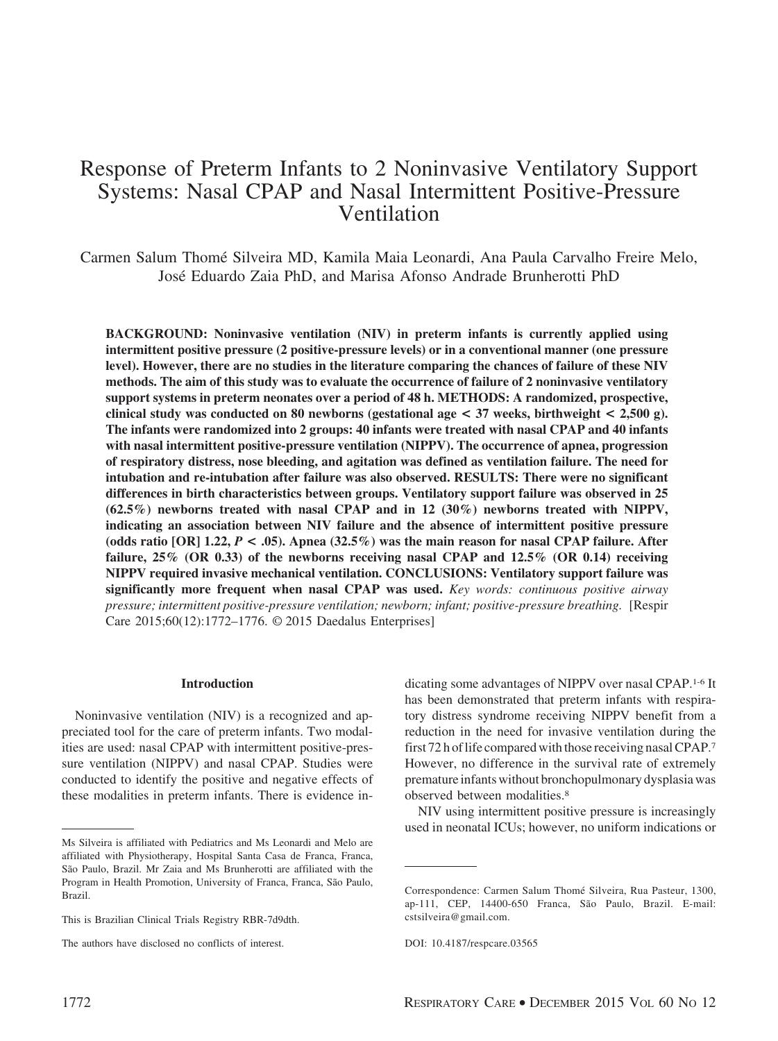# Response of Preterm Infants to 2 Noninvasive Ventilatory Support Systems: Nasal CPAP and Nasal Intermittent Positive-Pressure Ventilation

Carmen Salum Thome´ Silveira MD, Kamila Maia Leonardi, Ana Paula Carvalho Freire Melo, Jose´ Eduardo Zaia PhD, and Marisa Afonso Andrade Brunherotti PhD

**BACKGROUND: Noninvasive ventilation (NIV) in preterm infants is currently applied using intermittent positive pressure (2 positive-pressure levels) or in a conventional manner (one pressure level). However, there are no studies in the literature comparing the chances of failure of these NIV methods. The aim of this study was to evaluate the occurrence of failure of 2 noninvasive ventilatory support systems in preterm neonates over a period of 48 h. METHODS: A randomized, prospective, clinical study was conducted on 80 newborns (gestational age < 37 weeks, birthweight < 2,500 g). The infants were randomized into 2 groups: 40 infants were treated with nasal CPAP and 40 infants with nasal intermittent positive-pressure ventilation (NIPPV). The occurrence of apnea, progression of respiratory distress, nose bleeding, and agitation was defined as ventilation failure. The need for intubation and re-intubation after failure was also observed. RESULTS: There were no significant differences in birth characteristics between groups. Ventilatory support failure was observed in 25 (62.5%) newborns treated with nasal CPAP and in 12 (30%) newborns treated with NIPPV, indicating an association between NIV failure and the absence of intermittent positive pressure** (odds ratio [OR]  $1.22$ ,  $P < .05$ ). Apnea (32.5%) was the main reason for nasal CPAP failure. After **failure, 25% (OR 0.33) of the newborns receiving nasal CPAP and 12.5% (OR 0.14) receiving NIPPV required invasive mechanical ventilation. CONCLUSIONS: Ventilatory support failure was significantly more frequent when nasal CPAP was used.** *Key words: continuous positive airway pressure; intermittent positive-pressure ventilation; newborn; infant; positive-pressure breathing.* [Respir Care 2015;60(12):1772–1776. © 2015 Daedalus Enterprises]

#### **Introduction**

Noninvasive ventilation (NIV) is a recognized and appreciated tool for the care of preterm infants. Two modalities are used: nasal CPAP with intermittent positive-pressure ventilation (NIPPV) and nasal CPAP. Studies were conducted to identify the positive and negative effects of these modalities in preterm infants. There is evidence indicating some advantages of NIPPV over nasal CPAP.1-6 It has been demonstrated that preterm infants with respiratory distress syndrome receiving NIPPV benefit from a reduction in the need for invasive ventilation during the first 72 h of life compared with those receiving nasal CPAP.7 However, no difference in the survival rate of extremely premature infants without bronchopulmonary dysplasia was observed between modalities.8

NIV using intermittent positive pressure is increasingly used in neonatal ICUs; however, no uniform indications or

Ms Silveira is affiliated with Pediatrics and Ms Leonardi and Melo are affiliated with Physiotherapy, Hospital Santa Casa de Franca, Franca, São Paulo, Brazil. Mr Zaia and Ms Brunherotti are affiliated with the Program in Health Promotion, University of Franca, Franca, São Paulo, Brazil.

This is Brazilian Clinical Trials Registry RBR-7d9dth.

The authors have disclosed no conflicts of interest.

Correspondence: Carmen Salum Thomé Silveira, Rua Pasteur, 1300, ap-111, CEP, 14400-650 Franca, São Paulo, Brazil. E-mail: cstsilveira@gmail.com.

DOI: 10.4187/respcare.03565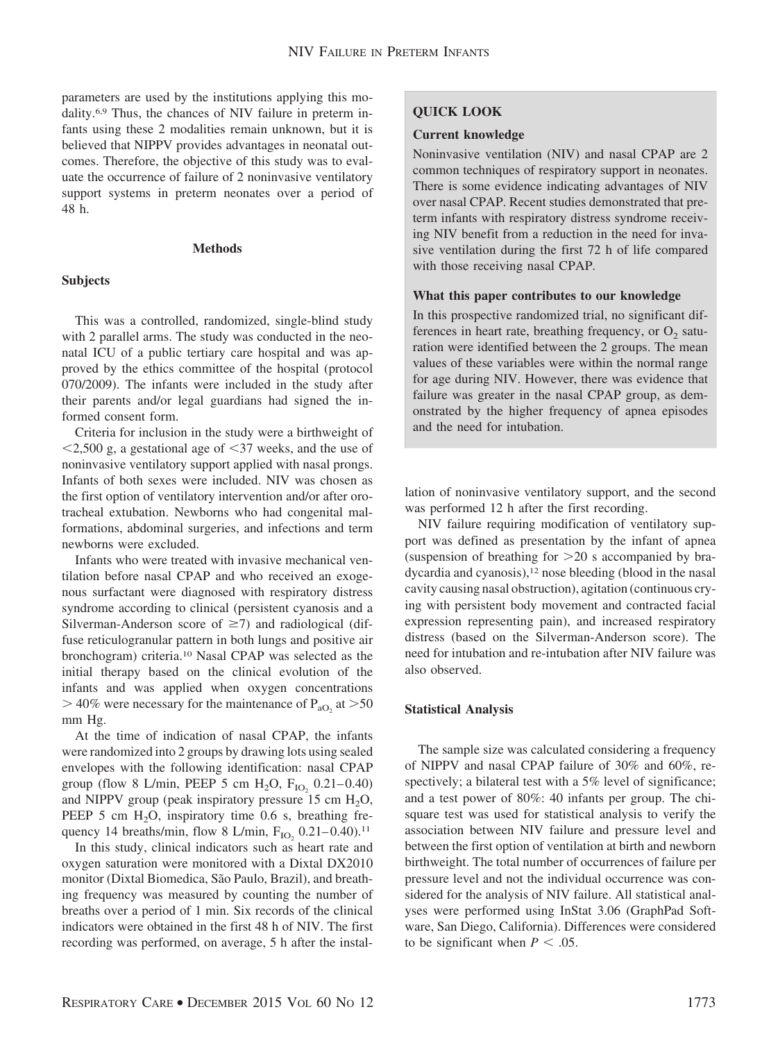parameters are used by the institutions applying this modality.6,9 Thus, the chances of NIV failure in preterm infants using these 2 modalities remain unknown, but it is believed that NIPPV provides advantages in neonatal outcomes. Therefore, the objective of this study was to evaluate the occurrence of failure of 2 noninvasive ventilatory support systems in preterm neonates over a period of 48 h.

## **Methods**

# **Subjects**

This was a controlled, randomized, single-blind study with 2 parallel arms. The study was conducted in the neonatal ICU of a public tertiary care hospital and was approved by the ethics committee of the hospital (protocol 070/2009). The infants were included in the study after their parents and/or legal guardians had signed the informed consent form.

Criteria for inclusion in the study were a birthweight of  $\leq$ 2,500 g, a gestational age of  $\leq$ 37 weeks, and the use of noninvasive ventilatory support applied with nasal prongs. Infants of both sexes were included. NIV was chosen as the first option of ventilatory intervention and/or after orotracheal extubation. Newborns who had congenital malformations, abdominal surgeries, and infections and term newborns were excluded.

Infants who were treated with invasive mechanical ventilation before nasal CPAP and who received an exogenous surfactant were diagnosed with respiratory distress syndrome according to clinical (persistent cyanosis and a Silverman-Anderson score of  $\geq$ 7) and radiological (diffuse reticulogranular pattern in both lungs and positive air bronchogram) criteria.10 Nasal CPAP was selected as the initial therapy based on the clinical evolution of the infants and was applied when oxygen concentrations  $>$  40% were necessary for the maintenance of P<sub>aO<sub>2</sub></sub> at  $>$  50 mm Hg.

At the time of indication of nasal CPAP, the infants were randomized into 2 groups by drawing lots using sealed envelopes with the following identification: nasal CPAP group (flow 8 L/min, PEEP 5 cm  $H_2O$ ,  $F_{IO_2}$  0.21–0.40) and NIPPV group (peak inspiratory pressure  $15 \text{ cm H}_2\text{O}$ , PEEP 5 cm  $H_2O$ , inspiratory time 0.6 s, breathing frequency 14 breaths/min, flow 8 L/min,  $F_{IO}$ , 0.21–0.40).<sup>11</sup>

In this study, clinical indicators such as heart rate and oxygen saturation were monitored with a Dixtal DX2010 monitor (Dixtal Biomedica, São Paulo, Brazil), and breathing frequency was measured by counting the number of breaths over a period of 1 min. Six records of the clinical indicators were obtained in the first 48 h of NIV. The first recording was performed, on average, 5 h after the instal-

# **QUICK LOOK**

#### **Current knowledge**

Noninvasive ventilation (NIV) and nasal CPAP are 2 common techniques of respiratory support in neonates. There is some evidence indicating advantages of NIV over nasal CPAP. Recent studies demonstrated that preterm infants with respiratory distress syndrome receiving NIV benefit from a reduction in the need for invasive ventilation during the first 72 h of life compared with those receiving nasal CPAP.

## **What this paper contributes to our knowledge**

In this prospective randomized trial, no significant differences in heart rate, breathing frequency, or  $O_2$  saturation were identified between the 2 groups. The mean values of these variables were within the normal range for age during NIV. However, there was evidence that failure was greater in the nasal CPAP group, as demonstrated by the higher frequency of apnea episodes and the need for intubation.

lation of noninvasive ventilatory support, and the second was performed 12 h after the first recording.

NIV failure requiring modification of ventilatory support was defined as presentation by the infant of apnea (suspension of breathing for  $>20$  s accompanied by bradycardia and cyanosis),<sup>12</sup> nose bleeding (blood in the nasal cavity causing nasal obstruction), agitation (continuous crying with persistent body movement and contracted facial expression representing pain), and increased respiratory distress (based on the Silverman-Anderson score). The need for intubation and re-intubation after NIV failure was also observed.

# **Statistical Analysis**

The sample size was calculated considering a frequency of NIPPV and nasal CPAP failure of 30% and 60%, respectively; a bilateral test with a 5% level of significance; and a test power of 80%: 40 infants per group. The chisquare test was used for statistical analysis to verify the association between NIV failure and pressure level and between the first option of ventilation at birth and newborn birthweight. The total number of occurrences of failure per pressure level and not the individual occurrence was considered for the analysis of NIV failure. All statistical analyses were performed using InStat 3.06 (GraphPad Software, San Diego, California). Differences were considered to be significant when  $P < .05$ .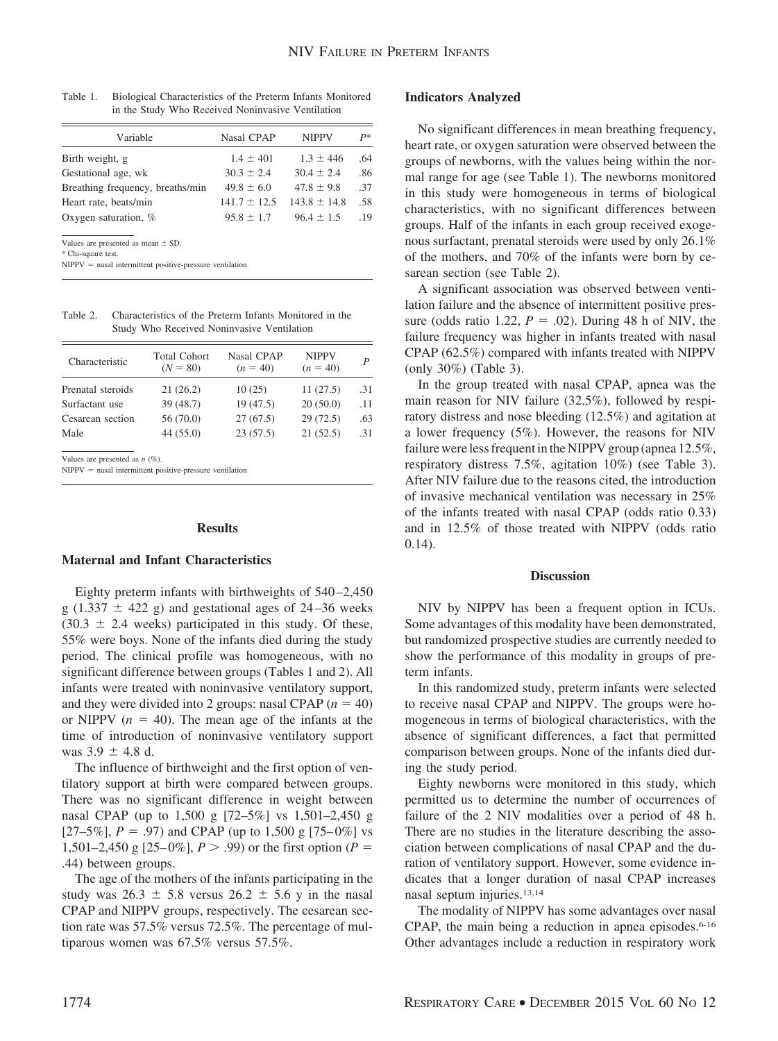| Variable                         | Nasal CPAP       | <b>NIPPV</b>     | $P*$ |
|----------------------------------|------------------|------------------|------|
| Birth weight, g                  | $1.4 \pm 401$    | $1.3 \pm 446$    | .64  |
| Gestational age, wk              | $30.3 \pm 2.4$   | $30.4 \pm 2.4$   | .86  |
| Breathing frequency, breaths/min | $49.8 \pm 6.0$   | $47.8 \pm 9.8$   | .37  |
| Heart rate, beats/min            | $141.7 \pm 12.5$ | $143.8 \pm 14.8$ | .58  |
| Oxygen saturation, $%$           | $95.8 \pm 1.7$   | $96.4 \pm 1.5$   | 19   |

Table 1. Biological Characteristics of the Preterm Infants Monitored in the Study Who Received Noninvasive Ventilation

Values are presented as mean  $\pm$  SD.

\* Chi-square test.

 $NIPPV$  = nasal intermittent positive-pressure ventilation

Table 2. Characteristics of the Preterm Infants Monitored in the Study Who Received Noninvasive Ventilation

| Characteristic    | <b>Total Cohort</b><br>$(N = 80)$ | Nasal CPAP<br>$(n = 40)$ | <b>NIPPV</b><br>$(n = 40)$ | P   |
|-------------------|-----------------------------------|--------------------------|----------------------------|-----|
| Prenatal steroids | 21(26.2)                          | 10(25)                   | 11(27.5)                   | .31 |
| Surfactant use    | 39 (48.7)                         | 19 (47.5)                | 20(50.0)                   | .11 |
| Cesarean section  | 56 (70.0)                         | 27(67.5)                 | 29(72.5)                   | .63 |
| Male              | 44(55.0)                          | 23(57.5)                 | 21(52.5)                   | .31 |
|                   |                                   |                          |                            |     |

Values are presented as *n* (%).

 $NIPPV$  = nasal intermittent positive-pressure ventilation

## **Results**

# **Maternal and Infant Characteristics**

Eighty preterm infants with birthweights of 540 –2,450 g (1.337  $\pm$  422 g) and gestational ages of 24–36 weeks  $(30.3 \pm 2.4$  weeks) participated in this study. Of these, 55% were boys. None of the infants died during the study period. The clinical profile was homogeneous, with no significant difference between groups (Tables 1 and 2). All infants were treated with noninvasive ventilatory support, and they were divided into 2 groups: nasal CPAP  $(n = 40)$ or NIPPV  $(n = 40)$ . The mean age of the infants at the time of introduction of noninvasive ventilatory support was  $3.9 \pm 4.8$  d.

The influence of birthweight and the first option of ventilatory support at birth were compared between groups. There was no significant difference in weight between nasal CPAP (up to 1,500 g [72–5%] vs 1,501–2,450 g  $[27–5\%]$ ,  $P = .97$ ) and CPAP (up to 1,500 g [75–0%] vs 1,501–2,450 g [25–0%],  $P > .99$ ) or the first option ( $P =$ .44) between groups.

The age of the mothers of the infants participating in the study was  $26.3 \pm 5.8$  versus  $26.2 \pm 5.6$  y in the nasal CPAP and NIPPV groups, respectively. The cesarean section rate was 57.5% versus 72.5%. The percentage of multiparous women was 67.5% versus 57.5%.

#### **Indicators Analyzed**

No significant differences in mean breathing frequency, heart rate, or oxygen saturation were observed between the groups of newborns, with the values being within the normal range for age (see Table 1). The newborns monitored in this study were homogeneous in terms of biological characteristics, with no significant differences between groups. Half of the infants in each group received exogenous surfactant, prenatal steroids were used by only 26.1% of the mothers, and 70% of the infants were born by cesarean section (see Table 2).

A significant association was observed between ventilation failure and the absence of intermittent positive pressure (odds ratio 1.22,  $P = .02$ ). During 48 h of NIV, the failure frequency was higher in infants treated with nasal CPAP (62.5%) compared with infants treated with NIPPV (only 30%) (Table 3).

In the group treated with nasal CPAP, apnea was the main reason for NIV failure (32.5%), followed by respiratory distress and nose bleeding (12.5%) and agitation at a lower frequency (5%). However, the reasons for NIV failure were less frequent in the NIPPV group (apnea 12.5%, respiratory distress 7.5%, agitation 10%) (see Table 3). After NIV failure due to the reasons cited, the introduction of invasive mechanical ventilation was necessary in 25% of the infants treated with nasal CPAP (odds ratio 0.33) and in 12.5% of those treated with NIPPV (odds ratio 0.14).

#### **Discussion**

NIV by NIPPV has been a frequent option in ICUs. Some advantages of this modality have been demonstrated, but randomized prospective studies are currently needed to show the performance of this modality in groups of preterm infants.

In this randomized study, preterm infants were selected to receive nasal CPAP and NIPPV. The groups were homogeneous in terms of biological characteristics, with the absence of significant differences, a fact that permitted comparison between groups. None of the infants died during the study period.

Eighty newborns were monitored in this study, which permitted us to determine the number of occurrences of failure of the 2 NIV modalities over a period of 48 h. There are no studies in the literature describing the association between complications of nasal CPAP and the duration of ventilatory support. However, some evidence indicates that a longer duration of nasal CPAP increases nasal septum injuries.13,14

The modality of NIPPV has some advantages over nasal CPAP, the main being a reduction in apnea episodes.<sup>6-16</sup> Other advantages include a reduction in respiratory work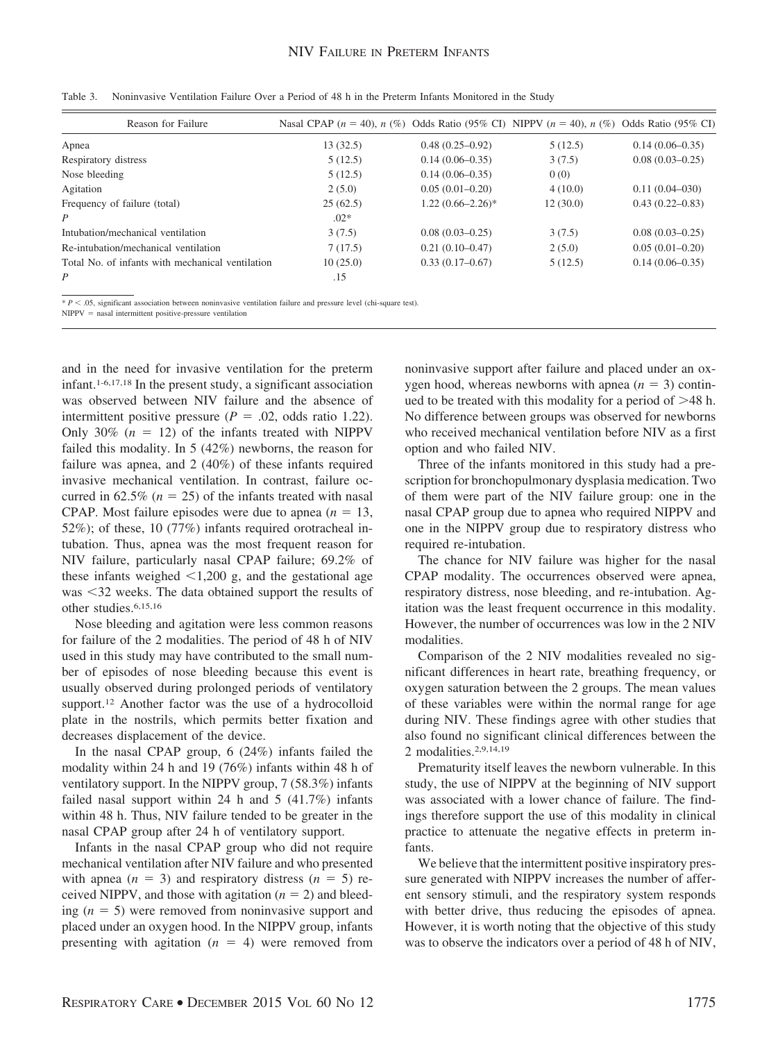| Reason for Failure                               | Nasal CPAP ( $n = 40$ ), $n$ (%) Odds Ratio (95% CI) NIPPV ( $n = 40$ ), $n$ (%) Odds Ratio (95% CI) |                     |          |                     |
|--------------------------------------------------|------------------------------------------------------------------------------------------------------|---------------------|----------|---------------------|
| Apnea                                            | 13(32.5)                                                                                             | $0.48(0.25-0.92)$   | 5(12.5)  | $0.14(0.06 - 0.35)$ |
| Respiratory distress                             | 5(12.5)                                                                                              | $0.14(0.06 - 0.35)$ | 3(7.5)   | $0.08(0.03-0.25)$   |
| Nose bleeding                                    | 5(12.5)                                                                                              | $0.14(0.06 - 0.35)$ | 0(0)     |                     |
| Agitation                                        | 2(5.0)                                                                                               | $0.05(0.01-0.20)$   | 4(10.0)  | $0.11(0.04 - 030)$  |
| Frequency of failure (total)                     | 25(62.5)                                                                                             | $1.22(0.66-2.26)$ * | 12(30.0) | $0.43(0.22 - 0.83)$ |
| P                                                | $.02*$                                                                                               |                     |          |                     |
| Intubation/mechanical ventilation                | 3(7.5)                                                                                               | $0.08(0.03-0.25)$   | 3(7.5)   | $0.08(0.03-0.25)$   |
| Re-intubation/mechanical ventilation             | 7(17.5)                                                                                              | $0.21(0.10-0.47)$   | 2(5.0)   | $0.05(0.01-0.20)$   |
| Total No. of infants with mechanical ventilation | 10(25.0)                                                                                             | $0.33(0.17-0.67)$   | 5(12.5)  | $0.14(0.06 - 0.35)$ |
| P                                                | .15                                                                                                  |                     |          |                     |

Table 3. Noninvasive Ventilation Failure Over a Period of 48 h in the Preterm Infants Monitored in the Study

 $* P < .05$ , significant association between noninvasive ventilation failure and pressure level (chi-square test).

 $NIPPV$  = nasal intermittent positive-pressure ventilation

and in the need for invasive ventilation for the preterm infant.1-6,17,18 In the present study, a significant association was observed between NIV failure and the absence of intermittent positive pressure  $(P = .02, \text{ odds ratio } 1.22)$ . Only 30%  $(n = 12)$  of the infants treated with NIPPV failed this modality. In 5 (42%) newborns, the reason for failure was apnea, and 2 (40%) of these infants required invasive mechanical ventilation. In contrast, failure occurred in  $62.5\%$  ( $n = 25$ ) of the infants treated with nasal CPAP. Most failure episodes were due to apnea  $(n = 13,$ 52%); of these, 10 (77%) infants required orotracheal intubation. Thus, apnea was the most frequent reason for NIV failure, particularly nasal CPAP failure; 69.2% of these infants weighed  $\leq 1,200$  g, and the gestational age was <32 weeks. The data obtained support the results of other studies.6,15,16

Nose bleeding and agitation were less common reasons for failure of the 2 modalities. The period of 48 h of NIV used in this study may have contributed to the small number of episodes of nose bleeding because this event is usually observed during prolonged periods of ventilatory support.<sup>12</sup> Another factor was the use of a hydrocolloid plate in the nostrils, which permits better fixation and decreases displacement of the device.

In the nasal CPAP group, 6 (24%) infants failed the modality within 24 h and 19 (76%) infants within 48 h of ventilatory support. In the NIPPV group, 7 (58.3%) infants failed nasal support within 24 h and 5 (41.7%) infants within 48 h. Thus, NIV failure tended to be greater in the nasal CPAP group after 24 h of ventilatory support.

Infants in the nasal CPAP group who did not require mechanical ventilation after NIV failure and who presented with apnea  $(n = 3)$  and respiratory distress  $(n = 5)$  received NIPPV, and those with agitation  $(n = 2)$  and bleeding  $(n = 5)$  were removed from noninvasive support and placed under an oxygen hood. In the NIPPV group, infants presenting with agitation  $(n = 4)$  were removed from noninvasive support after failure and placed under an oxygen hood, whereas newborns with apnea  $(n = 3)$  continued to be treated with this modality for a period of  $>48$  h. No difference between groups was observed for newborns who received mechanical ventilation before NIV as a first option and who failed NIV.

Three of the infants monitored in this study had a prescription for bronchopulmonary dysplasia medication. Two of them were part of the NIV failure group: one in the nasal CPAP group due to apnea who required NIPPV and one in the NIPPV group due to respiratory distress who required re-intubation.

The chance for NIV failure was higher for the nasal CPAP modality. The occurrences observed were apnea, respiratory distress, nose bleeding, and re-intubation. Agitation was the least frequent occurrence in this modality. However, the number of occurrences was low in the 2 NIV modalities.

Comparison of the 2 NIV modalities revealed no significant differences in heart rate, breathing frequency, or oxygen saturation between the 2 groups. The mean values of these variables were within the normal range for age during NIV. These findings agree with other studies that also found no significant clinical differences between the 2 modalities.2,9,14,19

Prematurity itself leaves the newborn vulnerable. In this study, the use of NIPPV at the beginning of NIV support was associated with a lower chance of failure. The findings therefore support the use of this modality in clinical practice to attenuate the negative effects in preterm infants.

We believe that the intermittent positive inspiratory pressure generated with NIPPV increases the number of afferent sensory stimuli, and the respiratory system responds with better drive, thus reducing the episodes of apnea. However, it is worth noting that the objective of this study was to observe the indicators over a period of 48 h of NIV,